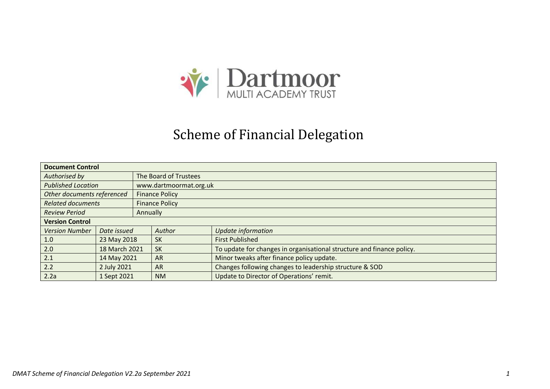

#### Scheme of Financial Delegation

|                                  | <b>Document Control</b>  |           |                        |                                                                       |  |  |
|----------------------------------|--------------------------|-----------|------------------------|-----------------------------------------------------------------------|--|--|
| Authorised by                    |                          |           | The Board of Trustees  |                                                                       |  |  |
| <b>Published Location</b>        |                          |           | www.dartmoormat.org.uk |                                                                       |  |  |
| Other documents referenced       |                          |           | <b>Finance Policy</b>  |                                                                       |  |  |
| <b>Related documents</b>         |                          |           | <b>Finance Policy</b>  |                                                                       |  |  |
| <b>Review Period</b><br>Annually |                          |           |                        |                                                                       |  |  |
| <b>Version Control</b>           |                          |           |                        |                                                                       |  |  |
| <b>Version Number</b>            | Date issued              |           | Author                 | Update information                                                    |  |  |
| 1.0                              | 23 May 2018              |           | <b>SK</b>              | <b>First Published</b>                                                |  |  |
| 2.0                              | 18 March 2021            |           | <b>SK</b>              | To update for changes in organisational structure and finance policy. |  |  |
| 2.1                              | 14 May 2021<br><b>AR</b> |           |                        | Minor tweaks after finance policy update.                             |  |  |
| 2.2                              | 2 July 2021              | <b>AR</b> |                        | Changes following changes to leadership structure & SOD               |  |  |
| 2.2a                             | 1 Sept 2021              |           | <b>NM</b>              | Update to Director of Operations' remit.                              |  |  |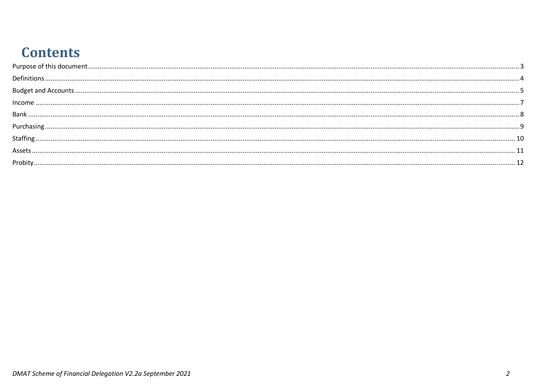### **Contents**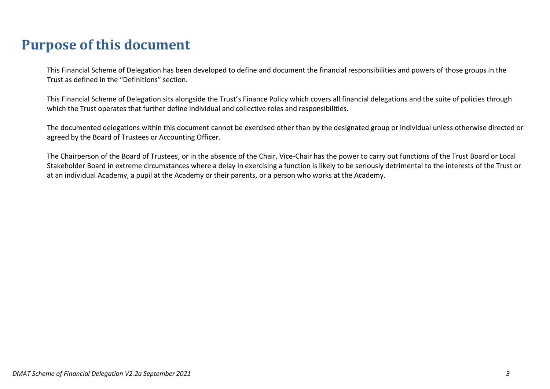### <span id="page-2-0"></span>**Purpose of this document**

This Financial Scheme of Delegation has been developed to define and document the financial responsibilities and powers of those groups in the Trust as defined in the "Definitions" section.

This Financial Scheme of Delegation sits alongside the Trust's Finance Policy which covers all financial delegations and the suite of policies through which the Trust operates that further define individual and collective roles and responsibilities.

The documented delegations within this document cannot be exercised other than by the designated group or individual unless otherwise directed or agreed by the Board of Trustees or Accounting Officer.

The Chairperson of the Board of Trustees, or in the absence of the Chair, Vice-Chair has the power to carry out functions of the Trust Board or Local Stakeholder Board in extreme circumstances where a delay in exercising a function is likely to be seriously detrimental to the interests of the Trust or at an individual Academy, a pupil at the Academy or their parents, or a person who works at the Academy.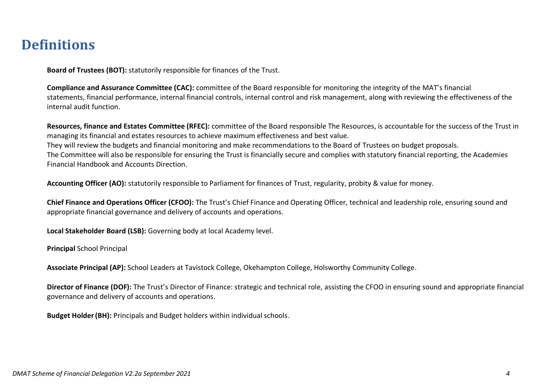#### <span id="page-3-0"></span>**Definitions**

**Board of Trustees (BOT):** statutorily responsible for finances of the Trust.

**Compliance and Assurance Committee (CAC):** committee of the Board responsible for monitoring the integrity of the MAT's financial statements, financial performance, internal financial controls, internal control and risk management, along with reviewing the effectiveness of the internal audit function.

**Resources, finance and Estates Committee (RFEC):** committee of the Board responsible The Resources, is accountable for the success of the Trust in managing its financial and estates resources to achieve maximum effectiveness and best value. They will review the budgets and financial monitoring and make recommendations to the Board of Trustees on budget proposals. The Committee will also be responsible for ensuring the Trust is financially secure and complies with statutory financial reporting, the Academies Financial Handbook and Accounts Direction.

**Accounting Officer (AO):** statutorily responsible to Parliament for finances of Trust, regularity, probity & value for money.

**Chief Finance and Operations Officer (CFOO):** The Trust's Chief Finance and Operating Officer, technical and leadership role, ensuring sound and appropriate financial governance and delivery of accounts and operations.

**Local Stakeholder Board (LSB):** Governing body at local Academy level.

**Principal** School Principal

**Associate Principal (AP):** School Leaders at Tavistock College, Okehampton College, Holsworthy Community College.

**Director of Finance (DOF):** The Trust's Director of Finance: strategic and technical role, assisting the CFOO in ensuring sound and appropriate financial governance and delivery of accounts and operations.

**Budget Holder(BH):** Principals and Budget holders within individual schools.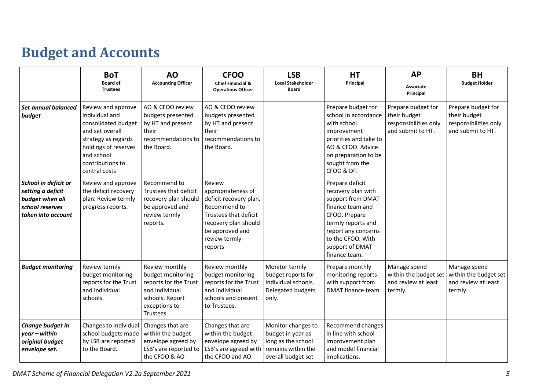# <span id="page-4-0"></span>**Budget and Accounts**

|                                                                                                       | <b>BoT</b><br><b>Board of</b><br><b>Trustees</b>                                                                                                                                 | AO<br><b>Accounting Officer</b>                                                                                                 | <b>CFOO</b><br><b>Chief Financial &amp;</b><br><b>Operations Officer</b>                                                                                               | <b>LSB</b><br><b>Local Stakeholder</b><br><b>Board</b>                                                    | <b>HT</b><br>Principal                                                                                                                                                                                | <b>AP</b><br><b>Associate</b><br>Principal                                       | <b>BH</b><br><b>Budget Holder</b>                                                |
|-------------------------------------------------------------------------------------------------------|----------------------------------------------------------------------------------------------------------------------------------------------------------------------------------|---------------------------------------------------------------------------------------------------------------------------------|------------------------------------------------------------------------------------------------------------------------------------------------------------------------|-----------------------------------------------------------------------------------------------------------|-------------------------------------------------------------------------------------------------------------------------------------------------------------------------------------------------------|----------------------------------------------------------------------------------|----------------------------------------------------------------------------------|
| Set annual balanced<br>budget                                                                         | Review and approve<br>individual and<br>consolidated budget<br>and set overall<br>strategy as regards<br>holdings of reserves<br>and school<br>contributions to<br>central costs | AO & CFOO review<br>budgets presented<br>by HT and present<br>their<br>recommendations to<br>the Board.                         | AO & CFOO review<br>budgets presented<br>by HT and present<br>their<br>recommendations to<br>the Board.                                                                |                                                                                                           | Prepare budget for<br>school in accordance<br>with school<br>improvement<br>priorities and take to<br>AO & CFOO. Advice<br>on preparation to be<br>sought from the<br>CFOO & DF.                      | Prepare budget for<br>their budget<br>responsibilities only<br>and submit to HT. | Prepare budget for<br>their budget<br>responsibilities only<br>and submit to HT. |
| School in deficit or<br>setting a deficit<br>budget when all<br>school reserves<br>taken into account | Review and approve<br>the deficit recovery<br>plan. Review termly<br>progress reports.                                                                                           | Recommend to<br>Trustees that deficit<br>recovery plan should<br>be approved and<br>review termly<br>reports.                   | Review<br>appropriateness of<br>deficit recovery plan.<br>Recommend to<br>Trustees that deficit<br>recovery plan should<br>be approved and<br>review termly<br>reports |                                                                                                           | Prepare deficit<br>recovery plan with<br>support from DMAT<br>finance team and<br>CFOO. Prepare<br>termly reports and<br>report any concerns<br>to the CFOO. With<br>support of DMAT<br>finance team. |                                                                                  |                                                                                  |
| <b>Budget monitoring</b>                                                                              | Review termly<br>budget monitoring<br>reports for the Trust<br>and individual<br>schools.                                                                                        | Review monthly<br>budget monitoring<br>reports for the Trust<br>and individual<br>schools. Report<br>exceptions to<br>Trustees. | Review monthly<br>budget monitoring<br>reports for the Trust<br>and individual<br>schools and present<br>to Trustees.                                                  | Monitor termly<br>budget reports for<br>individual schools.<br>Delegated budgets<br>only.                 | Prepare monthly<br>monitoring reports<br>with support from<br>DMAT finance team.                                                                                                                      | Manage spend<br>within the budget set<br>and review at least<br>termly.          | Manage spend<br>within the budget set<br>and review at least<br>termly.          |
| Change budget in<br>$year - within$<br>original budget<br>envelope set.                               | Changes to individual<br>school budgets made<br>by LSB are reported<br>to the Board.                                                                                             | Changes that are<br>within the budget<br>envelope agreed by<br>LSB's are reported to<br>the CFOO & AO                           | Changes that are<br>within the budget<br>envelope agreed by<br>LSB's are agreed with<br>the CFOO and AO.                                                               | Monitor changes to<br>budget in year as<br>long as the school<br>remains within the<br>overall budget set | Recommend changes<br>in line with school<br>improvement plan<br>and model financial<br>implications.                                                                                                  |                                                                                  |                                                                                  |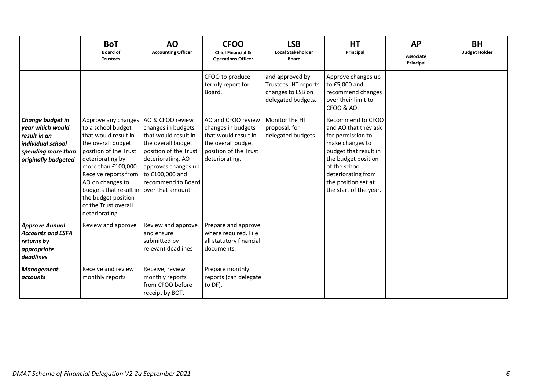|                                                                                                                        | <b>BoT</b><br><b>Board of</b><br><b>Trustees</b>                                                                                                                                                                                                                                                                             | <b>AO</b><br><b>Accounting Officer</b>                                                                                                                                                             | <b>CFOO</b><br><b>Chief Financial &amp;</b><br><b>Operations Officer</b>                                                          | <b>LSB</b><br><b>Local Stakeholder</b><br><b>Board</b>                             | <b>HT</b><br>Principal                                                                                                                                                                                                    | <b>AP</b><br><b>Associate</b><br>Principal | <b>BH</b><br><b>Budget Holder</b> |
|------------------------------------------------------------------------------------------------------------------------|------------------------------------------------------------------------------------------------------------------------------------------------------------------------------------------------------------------------------------------------------------------------------------------------------------------------------|----------------------------------------------------------------------------------------------------------------------------------------------------------------------------------------------------|-----------------------------------------------------------------------------------------------------------------------------------|------------------------------------------------------------------------------------|---------------------------------------------------------------------------------------------------------------------------------------------------------------------------------------------------------------------------|--------------------------------------------|-----------------------------------|
|                                                                                                                        |                                                                                                                                                                                                                                                                                                                              |                                                                                                                                                                                                    | CFOO to produce<br>termly report for<br>Board.                                                                                    | and approved by<br>Trustees. HT reports<br>changes to LSB on<br>delegated budgets. | Approve changes up<br>to £5,000 and<br>recommend changes<br>over their limit to<br>CFOO & AO.                                                                                                                             |                                            |                                   |
| Change budget in<br>year which would<br>result in an<br>individual school<br>spending more than<br>originally budgeted | Approve any changes<br>to a school budget<br>that would result in<br>the overall budget<br>position of the Trust<br>deteriorating by<br>more than £100,000.<br>Receive reports from<br>AO on changes to<br>budgets that result in $\vert$ over that amount.<br>the budget position<br>of the Trust overall<br>deteriorating. | AO & CFOO review<br>changes in budgets<br>that would result in<br>the overall budget<br>position of the Trust<br>deteriorating. AO<br>approves changes up<br>to £100,000 and<br>recommend to Board | AO and CFOO review<br>changes in budgets<br>that would result in<br>the overall budget<br>position of the Trust<br>deteriorating. | Monitor the HT<br>proposal, for<br>delegated budgets.                              | Recommend to CFOO<br>and AO that they ask<br>for permission to<br>make changes to<br>budget that result in<br>the budget position<br>of the school<br>deteriorating from<br>the position set at<br>the start of the year. |                                            |                                   |
| <b>Approve Annual</b><br><b>Accounts and ESFA</b><br>returns by<br>appropriate<br>deadlines                            | Review and approve                                                                                                                                                                                                                                                                                                           | Review and approve<br>and ensure<br>submitted by<br>relevant deadlines                                                                                                                             | Prepare and approve<br>where required. File<br>all statutory financial<br>documents.                                              |                                                                                    |                                                                                                                                                                                                                           |                                            |                                   |
| <b>Management</b><br>accounts                                                                                          | Receive and review<br>monthly reports                                                                                                                                                                                                                                                                                        | Receive, review<br>monthly reports<br>from CFOO before<br>receipt by BOT.                                                                                                                          | Prepare monthly<br>reports (can delegate<br>to DF).                                                                               |                                                                                    |                                                                                                                                                                                                                           |                                            |                                   |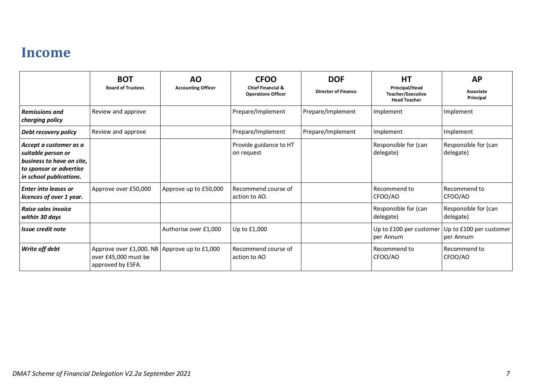#### <span id="page-6-0"></span>**Income**

|                                                                                                                                 | <b>BOT</b><br><b>Board of Trustees</b>                                                    | <b>AO</b><br><b>Accounting Officer</b> | <b>CFOO</b><br><b>Chief Financial &amp;</b><br><b>Operations Officer</b> | <b>DOF</b><br><b>Director of Finance</b> | <b>HT</b><br>Principal/Head<br><b>Teacher/Executive</b><br><b>Head Teacher</b> | <b>AP</b><br>Associate<br>Principal  |
|---------------------------------------------------------------------------------------------------------------------------------|-------------------------------------------------------------------------------------------|----------------------------------------|--------------------------------------------------------------------------|------------------------------------------|--------------------------------------------------------------------------------|--------------------------------------|
| <b>Remissions and</b><br>charging policy                                                                                        | Review and approve                                                                        |                                        | Prepare/Implement                                                        | Prepare/Implement                        | Implement                                                                      | Implement                            |
| Debt recovery policy                                                                                                            | Review and approve                                                                        |                                        | Prepare/Implement                                                        | Prepare/Implement                        | Implement                                                                      | Implement                            |
| Accept a customer as a<br>suitable person or<br>business to have on site,<br>to sponsor or advertise<br>in school publications. |                                                                                           |                                        | Provide guidance to HT<br>on request                                     |                                          | Responsible for (can<br>delegate)                                              | Responsible for (can<br>delegate)    |
| <b>Enter into leases or</b><br>licences of over 1 year.                                                                         | Approve over £50,000                                                                      | Approve up to £50,000                  | Recommend course of<br>action to AO.                                     |                                          | l Recommend to<br>CFOO/AO                                                      | Recommend to<br>CFOO/AO              |
| Raise sales invoice<br>within 30 days                                                                                           |                                                                                           |                                        |                                                                          |                                          | Responsible for (can<br>delegate)                                              | Responsible for (can<br>delegate)    |
| Issue credit note                                                                                                               |                                                                                           | Authorise over £1,000                  | Up to £1,000                                                             |                                          | Up to £100 per customer<br>per Annum                                           | Up to £100 per customer<br>per Annum |
| Write off debt                                                                                                                  | Approve over £1,000. NB Approve up to £1,000<br>over £45,000 must be<br>approved by ESFA. |                                        | Recommend course of<br>action to AO                                      |                                          | l Recommend to<br>CFOO/AO                                                      | Recommend to<br>CFOO/AO              |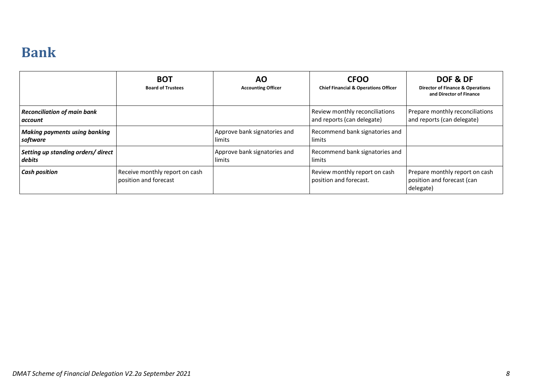### <span id="page-7-0"></span>**Bank**

|                                                  | <b>BOT</b><br><b>Board of Trustees</b>                  | <b>AO</b><br><b>Accounting Officer</b> | <b>CFOO</b><br><b>Chief Financial &amp; Operations Officer</b> | DOF & DF<br><b>Director of Finance &amp; Operations</b><br>and Director of Finance |
|--------------------------------------------------|---------------------------------------------------------|----------------------------------------|----------------------------------------------------------------|------------------------------------------------------------------------------------|
| <b>Reconciliation of main bank</b><br>account    |                                                         |                                        | Review monthly reconciliations<br>and reports (can delegate)   | Prepare monthly reconciliations<br>and reports (can delegate)                      |
| <b>Making payments using banking</b><br>software |                                                         | Approve bank signatories and<br>limits | Recommend bank signatories and<br>limits                       |                                                                                    |
| Setting up standing orders/direct<br>debits      |                                                         | Approve bank signatories and<br>limits | Recommend bank signatories and<br>limits                       |                                                                                    |
| <b>Cash position</b>                             | Receive monthly report on cash<br>position and forecast |                                        | Review monthly report on cash<br>position and forecast.        | Prepare monthly report on cash<br>position and forecast (can<br>delegate)          |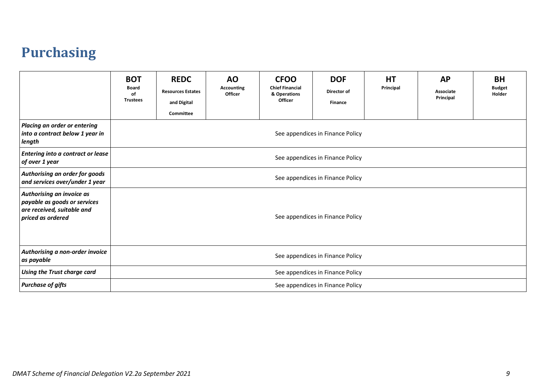### <span id="page-8-0"></span>**Purchasing**

|                                                                                                              | <b>BOT</b><br><b>Board</b><br>of<br><b>Trustees</b> | <b>REDC</b><br><b>Resources Estates</b><br>and Digital<br>Committee | <b>AO</b><br><b>Accounting</b><br>Officer | <b>CFOO</b><br><b>Chief Financial</b><br>& Operations<br>Officer | <b>DOF</b><br>Director of<br><b>Finance</b> | <b>HT</b><br>Principal | <b>AP</b><br>Associate<br>Principal | <b>BH</b><br><b>Budget</b><br>Holder |
|--------------------------------------------------------------------------------------------------------------|-----------------------------------------------------|---------------------------------------------------------------------|-------------------------------------------|------------------------------------------------------------------|---------------------------------------------|------------------------|-------------------------------------|--------------------------------------|
| Placing an order or entering<br>into a contract below 1 year in<br>length                                    |                                                     | See appendices in Finance Policy                                    |                                           |                                                                  |                                             |                        |                                     |                                      |
| Entering into a contract or lease<br>of over 1 year                                                          |                                                     | See appendices in Finance Policy                                    |                                           |                                                                  |                                             |                        |                                     |                                      |
| Authorising an order for goods<br>and services over/under 1 year                                             |                                                     | See appendices in Finance Policy                                    |                                           |                                                                  |                                             |                        |                                     |                                      |
| Authorising an invoice as<br>payable as goods or services<br>are received, suitable and<br>priced as ordered |                                                     | See appendices in Finance Policy                                    |                                           |                                                                  |                                             |                        |                                     |                                      |
| Authorising a non-order invoice<br>as payable                                                                |                                                     |                                                                     |                                           |                                                                  | See appendices in Finance Policy            |                        |                                     |                                      |
| Using the Trust charge card                                                                                  |                                                     | See appendices in Finance Policy                                    |                                           |                                                                  |                                             |                        |                                     |                                      |
| <b>Purchase of gifts</b>                                                                                     |                                                     |                                                                     |                                           |                                                                  | See appendices in Finance Policy            |                        |                                     |                                      |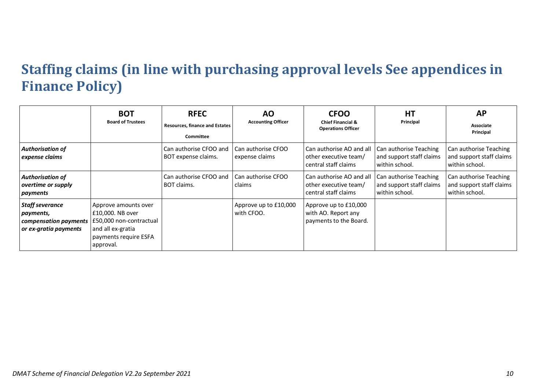### <span id="page-9-0"></span>**Staffing claims (in line with purchasing approval levels See appendices in Finance Policy)**

|                                                                                       | <b>BOT</b><br><b>Board of Trustees</b>                                                                                         | <b>RFEC</b><br><b>Resources, finance and Estates</b><br>Committee | ΑO<br><b>Accounting Officer</b>      | <b>CFOO</b><br><b>Chief Financial &amp;</b><br><b>Operations Officer</b>  | <b>HT</b><br>Principal                                               | <b>AP</b><br>Associate<br>Principal                                  |
|---------------------------------------------------------------------------------------|--------------------------------------------------------------------------------------------------------------------------------|-------------------------------------------------------------------|--------------------------------------|---------------------------------------------------------------------------|----------------------------------------------------------------------|----------------------------------------------------------------------|
| <b>Authorisation of</b><br>expense claims                                             |                                                                                                                                | Can authorise CFOO and<br>BOT expense claims.                     | Can authorise CFOO<br>expense claims | Can authorise AO and all<br>other executive team/<br>central staff claims | Can authorise Teaching<br>and support staff claims<br>within school. | Can authorise Teaching<br>and support staff claims<br>within school. |
| <b>Authorisation of</b><br>overtime or supply<br>payments                             |                                                                                                                                | Can authorise CFOO and<br>BOT claims.                             | Can authorise CFOO<br>claims         | Can authorise AO and all<br>other executive team/<br>central staff claims | Can authorise Teaching<br>and support staff claims<br>within school. | Can authorise Teaching<br>and support staff claims<br>within school. |
| <b>Staff severance</b><br>payments,<br>compensation payments<br>or ex-gratia payments | Approve amounts over<br>£10,000. NB over<br>£50,000 non-contractual<br>and all ex-gratia<br>payments require ESFA<br>approval. |                                                                   | Approve up to £10,000<br>with CFOO.  | Approve up to £10,000<br>with AO. Report any<br>payments to the Board.    |                                                                      |                                                                      |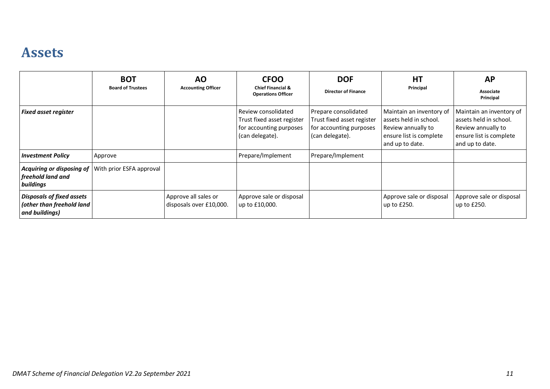#### <span id="page-10-0"></span>**Assets**

|                                                                                 | <b>BOT</b><br><b>Board of Trustees</b> | <b>AO</b><br><b>Accounting Officer</b>          | <b>CFOO</b><br><b>Chief Financial &amp;</b><br><b>Operations Officer</b>                        | <b>DOF</b><br><b>Director of Finance</b>                                                         | HT<br>Principal                                                                                                        | <b>AP</b><br><b>Associate</b><br>Principal                                                                             |
|---------------------------------------------------------------------------------|----------------------------------------|-------------------------------------------------|-------------------------------------------------------------------------------------------------|--------------------------------------------------------------------------------------------------|------------------------------------------------------------------------------------------------------------------------|------------------------------------------------------------------------------------------------------------------------|
| <b>Fixed asset register</b>                                                     |                                        |                                                 | Review consolidated<br>Trust fixed asset register<br>for accounting purposes<br>(can delegate). | Prepare consolidated<br>Trust fixed asset register<br>for accounting purposes<br>(can delegate). | Maintain an inventory of<br>assets held in school.<br>Review annually to<br>ensure list is complete<br>and up to date. | Maintain an inventory of<br>assets held in school.<br>Review annually to<br>ensure list is complete<br>and up to date. |
| <b>Investment Policy</b>                                                        | Approve                                |                                                 | Prepare/Implement                                                                               | Prepare/Implement                                                                                |                                                                                                                        |                                                                                                                        |
| Acquiring or disposing of<br>freehold land and<br>buildings                     | With prior ESFA approval               |                                                 |                                                                                                 |                                                                                                  |                                                                                                                        |                                                                                                                        |
| <b>Disposals of fixed assets</b><br>(other than freehold land<br>and buildings) |                                        | Approve all sales or<br>disposals over £10,000. | Approve sale or disposal<br>up to £10,000.                                                      |                                                                                                  | Approve sale or disposal<br>up to £250.                                                                                | Approve sale or disposal<br>up to £250.                                                                                |